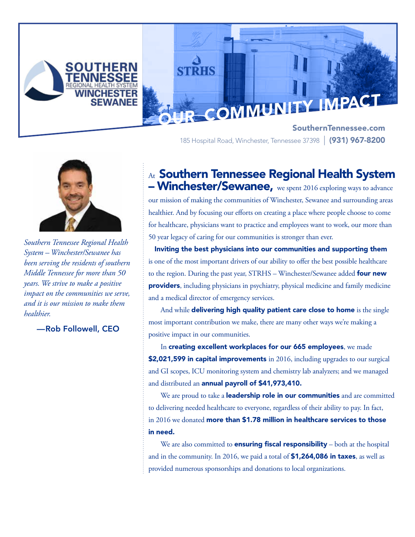

185 Hospital Road, Winchester, Tennessee 37398 | (931) 967-8200



*Southern Tennessee Regional Health System – Winchester/Sewanee has been serving the residents of southern Middle Tennessee for more than 50 years. We strive to make a positive impact on the communities we serve, and it is our mission to make them healthier.*

### —Rob Followell, CEO

At Southern Tennessee Regional Health System – Winchester/Sewanee, we spent 2016 exploring ways to advance

our mission of making the communities of Winchester, Sewanee and surrounding areas healthier. And by focusing our efforts on creating a place where people choose to come for healthcare, physicians want to practice and employees want to work, our more than 50 year legacy of caring for our communities is stronger than ever.

Inviting the best physicians into our communities and supporting them is one of the most important drivers of our ability to offer the best possible healthcare to the region. During the past year, STRHS – Winchester/Sewanee added four new providers, including physicians in psychiatry, physical medicine and family medicine and a medical director of emergency services.

And while delivering high quality patient care close to home is the single most important contribution we make, there are many other ways we're making a positive impact in our communities.

In creating excellent workplaces for our 665 employees, we made \$2,021,599 in capital improvements in 2016, including upgrades to our surgical and GI scopes, ICU monitoring system and chemistry lab analyzers; and we managed and distributed an annual payroll of \$41,973,410.

We are proud to take a **leadership role in our communities** and are committed to delivering needed healthcare to everyone, regardless of their ability to pay. In fact, in 2016 we donated more than \$1.78 million in healthcare services to those in need.

We are also committed to **ensuring fiscal responsibility** – both at the hospital and in the community. In 2016, we paid a total of **\$1,264,086 in taxes**, as well as provided numerous sponsorships and donations to local organizations.